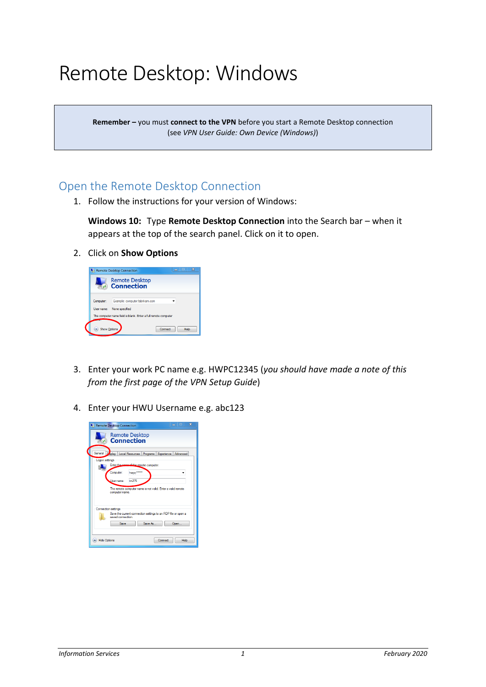# Remote Desktop: Windows

**Remember –** you must **connect to the VPN** before you start a Remote Desktop connection (see *VPN User Guide: Own Device (Windows)*)

### Open the Remote Desktop Connection

1. Follow the instructions for your version of Windows:

**Windows 10:** Type **Remote Desktop Connection** into the Search bar – when it appears at the top of the search panel. Click on it to open.

2. Click on **Show Options**



- 3. Enter your work PC name e.g. HWPC12345 (*you should have made a note of this from the first page of the VPN Setup Guide*)
- 4. Enter your HWU Username e.g. abc123

|                                                                                   |                                                  | Remote Desktop Connection                                                     | $\overline{\mathbf{x}}$<br>п |  |
|-----------------------------------------------------------------------------------|--------------------------------------------------|-------------------------------------------------------------------------------|------------------------------|--|
|                                                                                   | <b>Remote Desktop</b><br><b>Connection</b><br>зś |                                                                               |                              |  |
|                                                                                   |                                                  | General   Desplay   Local Resources   Programs   Experience   Advanced        |                              |  |
| Logon settings                                                                    |                                                  |                                                                               |                              |  |
|                                                                                   | dilla remote computer.<br><b>Enter the new</b>   |                                                                               |                              |  |
|                                                                                   |                                                  | Computer:<br>hwpc'                                                            |                              |  |
|                                                                                   |                                                  | tm276<br>Liser name:                                                          |                              |  |
|                                                                                   |                                                  | The remote computer name is not valid. Enter a valid remote<br>computer name. |                              |  |
|                                                                                   | <b>Connection settings</b>                       |                                                                               |                              |  |
| Save the current connection settings to an RDP file or open a<br>saved connection |                                                  |                                                                               |                              |  |
|                                                                                   |                                                  | Save As<br>Save                                                               | Open                         |  |
| <b>Hide Options</b><br>Connect                                                    |                                                  |                                                                               | Help                         |  |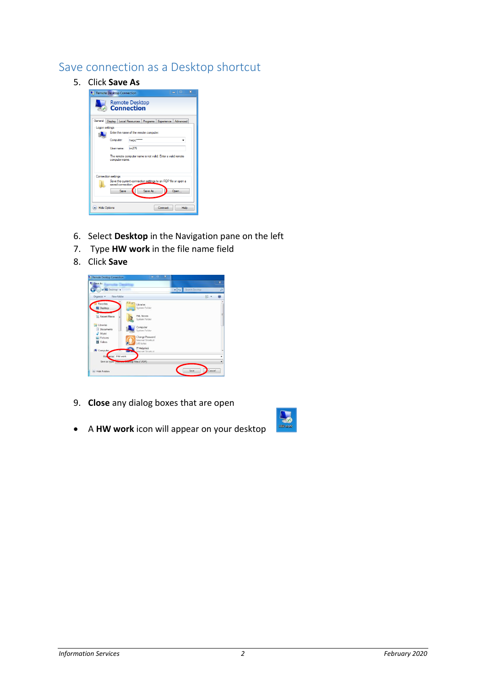#### Save connection as a Desktop shortcut

5. Click **Save As**



- 6. Select **Desktop** in the Navigation pane on the left
- 7. Type **HW work** in the file name field
- 8. Click **Save**



- 9. **Close** any dialog boxes that are open
- A **HW work** icon will appear on your desktop